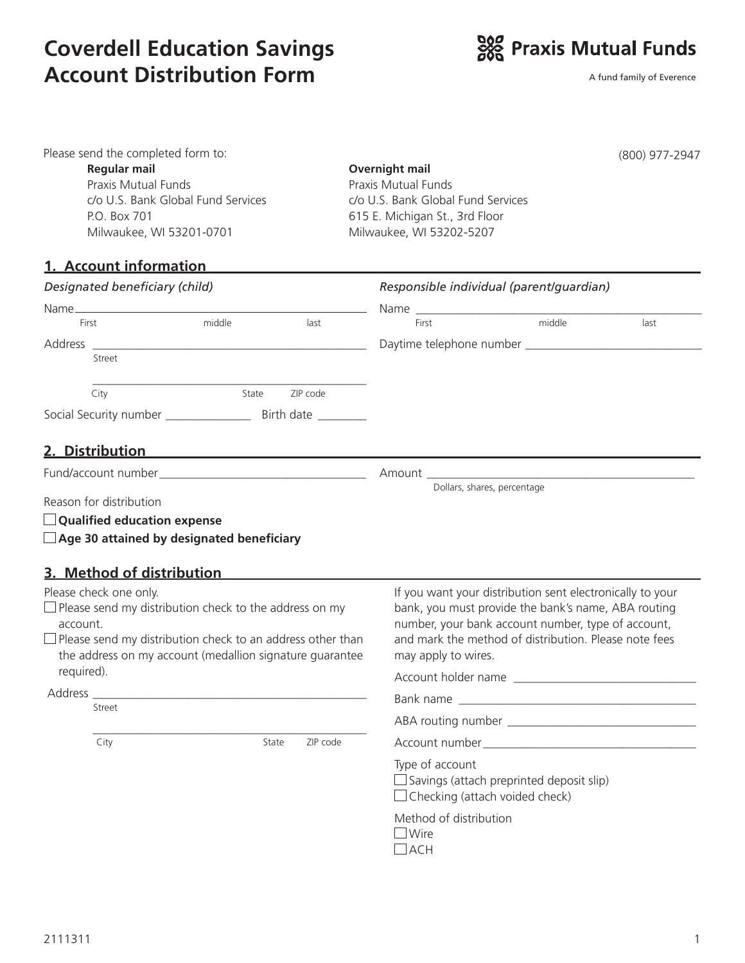## **Coverdell Education Savings Account Distribution Form**



A fund family of Everence

| Please send the completed form to:<br><b>Regular mail</b><br>Praxis Mutual Funds<br>c/o U.S. Bank Global Fund Services<br>P.O. Box 701<br>Milwaukee, WI 53201-0701<br>1. Account information                                                       | (800) 977-2947<br><b>Overnight mail</b><br>Praxis Mutual Funds<br>c/o U.S. Bank Global Fund Services<br>615 E. Michigan St., 3rd Floor<br>Milwaukee, WI 53202-5207                                                                                     |
|----------------------------------------------------------------------------------------------------------------------------------------------------------------------------------------------------------------------------------------------------|--------------------------------------------------------------------------------------------------------------------------------------------------------------------------------------------------------------------------------------------------------|
| Designated beneficiary (child)                                                                                                                                                                                                                     | Responsible individual (parent/guardian)                                                                                                                                                                                                               |
|                                                                                                                                                                                                                                                    |                                                                                                                                                                                                                                                        |
| middle<br>last<br>First                                                                                                                                                                                                                            | middle<br>last<br>First                                                                                                                                                                                                                                |
| Address                                                                                                                                                                                                                                            |                                                                                                                                                                                                                                                        |
| Street                                                                                                                                                                                                                                             |                                                                                                                                                                                                                                                        |
| ZIP code<br>State<br>City                                                                                                                                                                                                                          |                                                                                                                                                                                                                                                        |
|                                                                                                                                                                                                                                                    |                                                                                                                                                                                                                                                        |
| Reason for distribution<br>$\Box$ Qualified education expense<br>$\Box$ Age 30 attained by designated beneficiary                                                                                                                                  | Dollars, shares, percentage                                                                                                                                                                                                                            |
| 3. Method of distribution                                                                                                                                                                                                                          |                                                                                                                                                                                                                                                        |
| Please check one only.<br>$\Box$ Please send my distribution check to the address on my<br>account.<br>$\Box$ Please send my distribution check to an address other than<br>the address on my account (medallion signature guarantee<br>required). | If you want your distribution sent electronically to your<br>bank, you must provide the bank's name, ABA routing<br>number, your bank account number, type of account,<br>and mark the method of distribution. Please note fees<br>may apply to wires. |
| Address _____                                                                                                                                                                                                                                      |                                                                                                                                                                                                                                                        |
| Street                                                                                                                                                                                                                                             |                                                                                                                                                                                                                                                        |
|                                                                                                                                                                                                                                                    |                                                                                                                                                                                                                                                        |
| City<br>State<br>ZIP code                                                                                                                                                                                                                          |                                                                                                                                                                                                                                                        |
|                                                                                                                                                                                                                                                    | Type of account<br>$\Box$ Savings (attach preprinted deposit slip)<br>$\Box$ Checking (attach voided check)                                                                                                                                            |
|                                                                                                                                                                                                                                                    | Method of distribution<br>Wire<br>$\Box$ ach                                                                                                                                                                                                           |